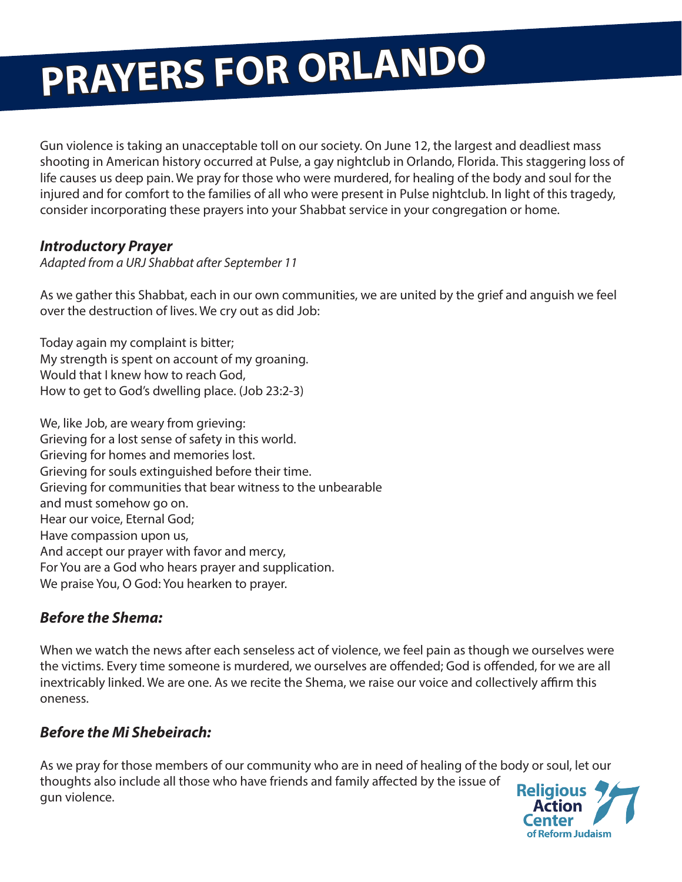# **PRAYERS FOR ORLANDO**

Gun violence is taking an unacceptable toll on our society. On June 12, the largest and deadliest mass shooting in American history occurred at Pulse, a gay nightclub in Orlando, Florida. This staggering loss of life causes us deep pain. We pray for those who were murdered, for healing of the body and soul for the injured and for comfort to the families of all who were present in Pulse nightclub. In light of this tragedy, consider incorporating these prayers into your Shabbat service in your congregation or home.

## *Introductory Prayer*

#### *Adapted from a URJ Shabbat after September 11*

As we gather this Shabbat, each in our own communities, we are united by the grief and anguish we feel over the destruction of lives. We cry out as did Job:

Today again my complaint is bitter; My strength is spent on account of my groaning. Would that I knew how to reach God. How to get to God's dwelling place. (Job 23:2-3)

We, like Job, are weary from grieving: Grieving for a lost sense of safety in this world. Grieving for homes and memories lost. Grieving for souls extinguished before their time. Grieving for communities that bear witness to the unbearable and must somehow go on. Hear our voice, Eternal God; Have compassion upon us, And accept our prayer with favor and mercy, For You are a God who hears prayer and supplication. We praise You, O God: You hearken to prayer.

# *Before the Shema:*

When we watch the news after each senseless act of violence, we feel pain as though we ourselves were the victims. Every time someone is murdered, we ourselves are offended; God is offended, for we are all inextricably linked. We are one. As we recite the Shema, we raise our voice and collectively affirm this oneness.

# *Before the Mi Shebeirach:*

As we pray for those members of our community who are in need of healing of the body or soul, let our thoughts also include all those who have friends and family affected by the issue of **Religious** gun violence.

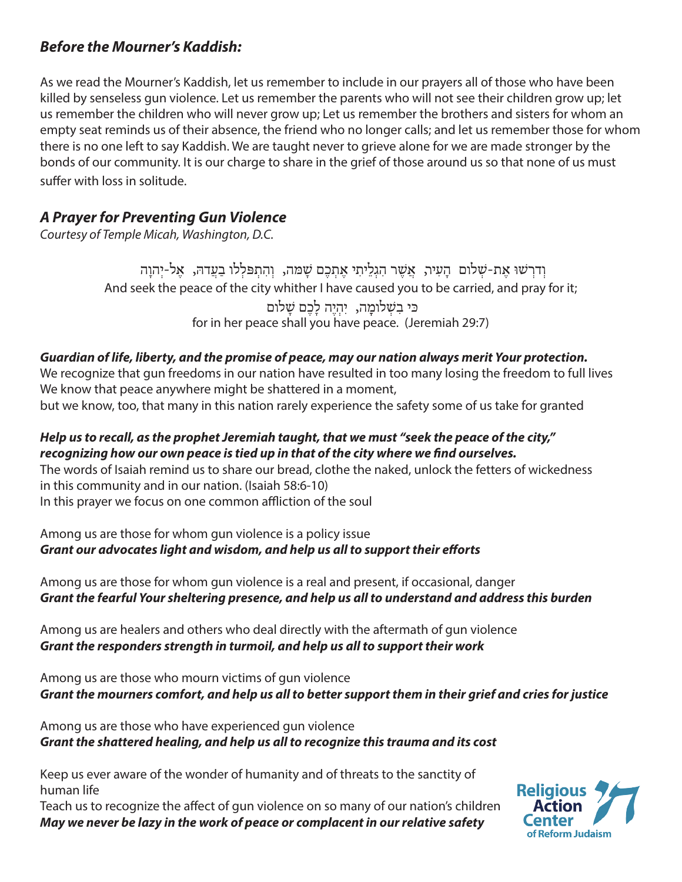## *Before the Mourner's Kaddish:*

As we read the Mourner's Kaddish, let us remember to include in our prayers all of those who have been killed by senseless gun violence. Let us remember the parents who will not see their children grow up; let us remember the children who will never grow up; Let us remember the brothers and sisters for whom an empty seat reminds us of their absence, the friend who no longer calls; and let us remember those for whom there is no one left to say Kaddish. We are taught never to grieve alone for we are made stronger by the bonds of our community. It is our charge to share in the grief of those around us so that none of us must suffer with loss in solitude.

## *A Prayer for Preventing Gun Violence*

*Courtesy of Temple Micah, Washington, D.C.*

And seek the peace of the city whither I have caused you to be carried, and pray for it; for in her peace shall you have peace. (Jeremiah 29:7) וְ דרְ ׁשּו אֶ ת-שְ לום הָ עִ יר, אֲ שֶ ר הִ גְ לֵ יתִ י אֶ תְ כֶ ם שָ ּמה, וְ הִ תְ ּפלְ לו בַ עֲ דּה, אֶ ל-יְהוָ ה ּכּי בִשְׁלומָה, יִהְיֶה לָכֶם שָׁלום

#### *Guardian of life, liberty, and the promise of peace, may our nation always merit Your protection.*

We recognize that gun freedoms in our nation have resulted in too many losing the freedom to full lives We know that peace anywhere might be shattered in a moment,

but we know, too, that many in this nation rarely experience the safety some of us take for granted

#### *Help us to recall, as the prophet Jeremiah taught, that we must "seek the peace of the city," recognizing how our own peace is tied up in that of the city where we find ourselves.*

The words of Isaiah remind us to share our bread, clothe the naked, unlock the fetters of wickedness in this community and in our nation. (Isaiah 58:6-10)

In this prayer we focus on one common affliction of the soul

Among us are those for whom gun violence is a policy issue *Grant our advocates light and wisdom, and help us all to support their efforts*

Among us are those for whom gun violence is a real and present, if occasional, danger *Grant the fearful Your sheltering presence, and help us all to understand and address this burden*

Among us are healers and others who deal directly with the aftermath of gun violence *Grant the responders strength in turmoil, and help us all to support their work*

Among us are those who mourn victims of gun violence *Grant the mourners comfort, and help us all to better support them in their grief and cries for justice*

Among us are those who have experienced gun violence *Grant the shattered healing, and help us all to recognize this trauma and its cost*

Keep us ever aware of the wonder of humanity and of threats to the sanctity of human life

Teach us to recognize the affect of gun violence on so many of our nation's children *May we never be lazy in the work of peace or complacent in our relative safety*